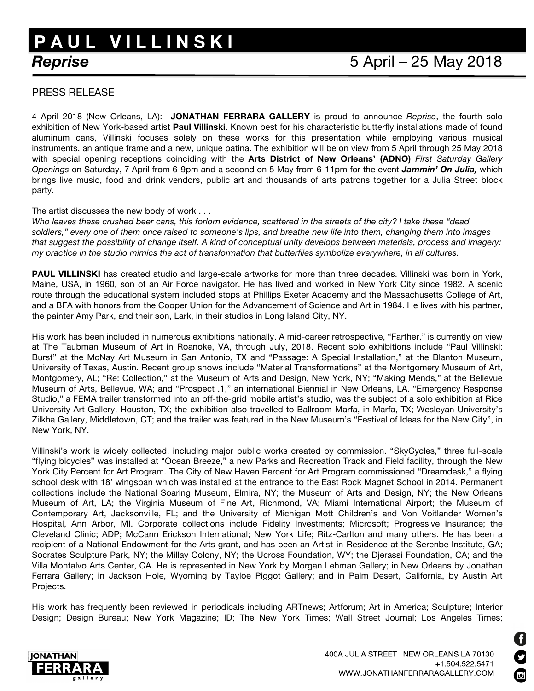## *Reprise* 5 April – 25 May 2018 **P A U L V I L L I N S K I**

## PRESS RELEASE

4 April 2018 (New Orleans, LA): **JONATHAN FERRARA GALLERY** is proud to announce *Reprise*, the fourth solo exhibition of New York-based artist **Paul Villinski**. Known best for his characteristic butterfly installations made of found aluminum cans, Villinski focuses solely on these works for this presentation while employing various musical instruments, an antique frame and a new, unique patina. The exhibition will be on view from 5 April through 25 May 2018 with special opening receptions coinciding with the **Arts District of New Orleans' (ADNO)** *First Saturday Gallery Openings* on Saturday, 7 April from 6-9pm and a second on 5 May from 6-11pm for the event *Jammin' On Julia,* which brings live music, food and drink vendors, public art and thousands of arts patrons together for a Julia Street block party.

## The artist discusses the new body of work . . .

*Who leaves these crushed beer cans, this forlorn evidence, scattered in the streets of the city? I take these "dead soldiers," every one of them once raised to someone's lips, and breathe new life into them, changing them into images that suggest the possibility of change itself. A kind of conceptual unity develops between materials, process and imagery: my practice in the studio mimics the act of transformation that butterflies symbolize everywhere, in all cultures.*

**PAUL VILLINSKI** has created studio and large-scale artworks for more than three decades. Villinski was born in York, Maine, USA, in 1960, son of an Air Force navigator. He has lived and worked in New York City since 1982. A scenic route through the educational system included stops at Phillips Exeter Academy and the Massachusetts College of Art, and a BFA with honors from the Cooper Union for the Advancement of Science and Art in 1984. He lives with his partner, the painter Amy Park, and their son, Lark, in their studios in Long Island City, NY.

His work has been included in numerous exhibitions nationally. A mid-career retrospective, "Farther," is currently on view at The Taubman Museum of Art in Roanoke, VA, through July, 2018. Recent solo exhibitions include "Paul Villinski: Burst" at the McNay Art Museum in San Antonio, TX and "Passage: A Special Installation," at the Blanton Museum, University of Texas, Austin. Recent group shows include "Material Transformations" at the Montgomery Museum of Art, Montgomery, AL; "Re: Collection," at the Museum of Arts and Design, New York, NY; "Making Mends," at the Bellevue Museum of Arts, Bellevue, WA; and "Prospect .1," an international Biennial in New Orleans, LA. "Emergency Response Studio," a FEMA trailer transformed into an off-the-grid mobile artist's studio, was the subject of a solo exhibition at Rice University Art Gallery, Houston, TX; the exhibition also travelled to Ballroom Marfa, in Marfa, TX; Wesleyan University's Zilkha Gallery, Middletown, CT; and the trailer was featured in the New Museum's "Festival of Ideas for the New City", in New York, NY.

Villinski's work is widely collected, including major public works created by commission. "SkyCycles," three full-scale "flying bicycles" was installed at "Ocean Breeze," a new Parks and Recreation Track and Field facility, through the New York City Percent for Art Program. The City of New Haven Percent for Art Program commissioned "Dreamdesk," a flying school desk with 18' wingspan which was installed at the entrance to the East Rock Magnet School in 2014. Permanent collections include the National Soaring Museum, Elmira, NY; the Museum of Arts and Design, NY; the New Orleans Museum of Art, LA; the Virginia Museum of Fine Art, Richmond, VA; Miami International Airport; the Museum of Contemporary Art, Jacksonville, FL; and the University of Michigan Mott Children's and Von Voitlander Women's Hospital, Ann Arbor, MI. Corporate collections include Fidelity Investments; Microsoft; Progressive Insurance; the Cleveland Clinic; ADP; McCann Erickson International; New York Life; Ritz-Carlton and many others. He has been a recipient of a National Endowment for the Arts grant, and has been an Artist-in-Residence at the Serenbe Institute, GA; Socrates Sculpture Park, NY; the Millay Colony, NY; the Ucross Foundation, WY; the Djerassi Foundation, CA; and the Villa Montalvo Arts Center, CA. He is represented in New York by Morgan Lehman Gallery; in New Orleans by Jonathan Ferrara Gallery; in Jackson Hole, Wyoming by Tayloe Piggot Gallery; and in Palm Desert, California, by Austin Art Projects.

His work has frequently been reviewed in periodicals including ARTnews; Artforum; Art in America; Sculpture; Interior Design; Design Bureau; New York Magazine; ID; The New York Times; Wall Street Journal; Los Angeles Times;



A